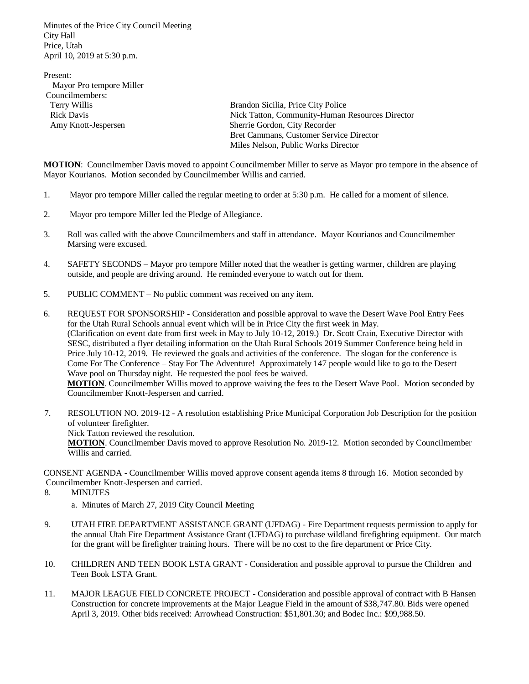Minutes of the Price City Council Meeting City Hall Price, Utah April 10, 2019 at 5:30 p.m.

Present: Mayor Pro tempore Miller Councilmembers:

 Terry Willis Brandon Sicilia, Price City Police Rick Davis Nick Tatton, Community-Human Resources Director Amy Knott-Jespersen Sherrie Gordon, City Recorder Bret Cammans, Customer Service Director Miles Nelson, Public Works Director

**MOTION**: Councilmember Davis moved to appoint Councilmember Miller to serve as Mayor pro tempore in the absence of Mayor Kourianos. Motion seconded by Councilmember Willis and carried.

- 1. Mayor pro tempore Miller called the regular meeting to order at 5:30 p.m. He called for a moment of silence.
- 2. Mayor pro tempore Miller led the Pledge of Allegiance.
- 3. Roll was called with the above Councilmembers and staff in attendance. Mayor Kourianos and Councilmember Marsing were excused.
- 4. SAFETY SECONDS Mayor pro tempore Miller noted that the weather is getting warmer, children are playing outside, and people are driving around. He reminded everyone to watch out for them.
- 5. PUBLIC COMMENT No public comment was received on any item.

6. REQUEST FOR SPONSORSHIP - Consideration and possible approval to wave the Desert Wave Pool Entry Fees for the Utah Rural Schools annual event which will be in Price City the first week in May. (Clarification on event date from first week in May to July 10-12, 2019.) Dr. Scott Crain, Executive Director with SESC, distributed a flyer detailing information on the Utah Rural Schools 2019 Summer Conference being held in Price July 10-12, 2019. He reviewed the goals and activities of the conference. The slogan for the conference is Come For The Conference – Stay For The Adventure! Approximately 147 people would like to go to the Desert Wave pool on Thursday night. He requested the pool fees be waived.

 **MOTION**. Councilmember Willis moved to approve waiving the fees to the Desert Wave Pool. Motion seconded by Councilmember Knott-Jespersen and carried.

7. RESOLUTION NO. 2019-12 - A resolution establishing Price Municipal Corporation Job Description for the position of volunteer firefighter. Nick Tatton reviewed the resolution. **MOTION**. Councilmember Davis moved to approve Resolution No. 2019-12. Motion seconded by Councilmember

Willis and carried.

CONSENT AGENDA - Councilmember Willis moved approve consent agenda items 8 through 16. Motion seconded by Councilmember Knott-Jespersen and carried.

- 8. MINUTES
	- a. Minutes of March 27, 2019 City Council Meeting
- 9. UTAH FIRE DEPARTMENT ASSISTANCE GRANT (UFDAG) Fire Department requests permission to apply for the annual Utah Fire Department Assistance Grant (UFDAG) to purchase wildland firefighting equipment. Our match for the grant will be firefighter training hours. There will be no cost to the fire department or Price City.
- 10. CHILDREN AND TEEN BOOK LSTA GRANT Consideration and possible approval to pursue the Children and Teen Book LSTA Grant.
- 11. MAJOR LEAGUE FIELD CONCRETE PROJECT Consideration and possible approval of contract with B Hansen Construction for concrete improvements at the Major League Field in the amount of \$38,747.80. Bids were opened April 3, 2019. Other bids received: Arrowhead Construction: \$51,801.30; and Bodec Inc.: \$99,988.50.